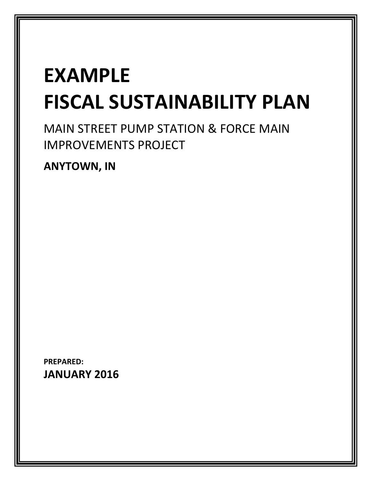# EXAMPLE FISCAL SUSTAINABILITY PLAN

MAIN STREET PUMP STATION & FORCE MAIN IMPROVEMENTS PROJECT

ANYTOWN, IN

PREPARED: JANUARY 2016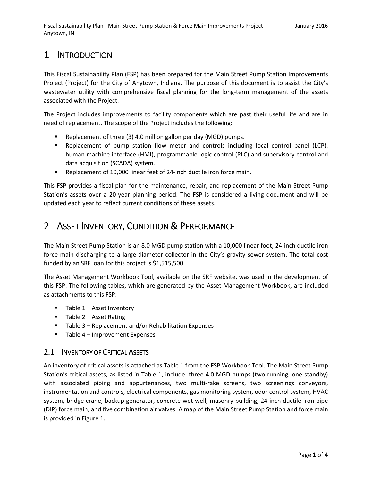### 1 INTRODUCTION

This Fiscal Sustainability Plan (FSP) has been prepared for the Main Street Pump Station Improvements Project (Project) for the City of Anytown, Indiana. The purpose of this document is to assist the City's wastewater utility with comprehensive fiscal planning for the long-term management of the assets associated with the Project.

The Project includes improvements to facility components which are past their useful life and are in need of replacement. The scope of the Project includes the following:

- Replacement of three (3) 4.0 million gallon per day (MGD) pumps.
- **EXECT** Replacement of pump station flow meter and controls including local control panel (LCP), human machine interface (HMI), programmable logic control (PLC) and supervisory control and data acquisition (SCADA) system.
- Replacement of 10,000 linear feet of 24-inch ductile iron force main.

This FSP provides a fiscal plan for the maintenance, repair, and replacement of the Main Street Pump Station's assets over a 20-year planning period. The FSP is considered a living document and will be updated each year to reflect current conditions of these assets.

### 2 ASSET INVENTORY, CONDITION & PERFORMANCE

The Main Street Pump Station is an 8.0 MGD pump station with a 10,000 linear foot, 24-inch ductile iron force main discharging to a large-diameter collector in the City's gravity sewer system. The total cost funded by an SRF loan for this project is \$1,515,500.

The Asset Management Workbook Tool, available on the SRF website, was used in the development of this FSP. The following tables, which are generated by the Asset Management Workbook, are included as attachments to this FSP:

- $\blacksquare$  Table 1 Asset Inventory
- $\blacksquare$  Table 2 Asset Rating
- Table 3 Replacement and/or Rehabilitation Expenses
- $\blacksquare$  Table 4 Improvement Expenses

#### 2.1 INVENTORY OF CRITICAL ASSETS

An inventory of critical assets is attached as Table 1 from the FSP Workbook Tool. The Main Street Pump Station's critical assets, as listed in Table 1, include: three 4.0 MGD pumps (two running, one standby) with associated piping and appurtenances, two multi-rake screens, two screenings conveyors, instrumentation and controls, electrical components, gas monitoring system, odor control system, HVAC system, bridge crane, backup generator, concrete wet well, masonry building, 24-inch ductile iron pipe (DIP) force main, and five combination air valves. A map of the Main Street Pump Station and force main is provided in Figure 1.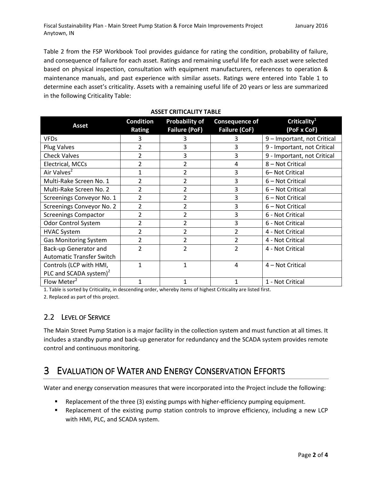Table 2 from the FSP Workbook Tool provides guidance for rating the condition, probability of failure, and consequence of failure for each asset. Ratings and remaining useful life for each asset were selected based on physical inspection, consultation with equipment manufacturers, references to operation & maintenance manuals, and past experience with similar assets. Ratings were entered into Table 1 to determine each asset's criticality. Assets with a remaining useful life of 20 years or less are summarized in the following Criticality Table:

|                                    | <b>Condition</b> | <b>Probability of</b> | <b>Consequence of</b> | Criticality <sup>1</sup>    |
|------------------------------------|------------------|-----------------------|-----------------------|-----------------------------|
| <b>Asset</b>                       | Rating           | <b>Failure (PoF)</b>  | <b>Failure (CoF)</b>  | (PoF x CoF)                 |
| <b>VFDs</b>                        | 3                |                       | 3                     | 9 - Important, not Critical |
| Plug Valves                        | $\overline{2}$   | 3                     | 3                     | 9 - Important, not Critical |
| <b>Check Valves</b>                | $\overline{2}$   | 3                     | 3                     | 9 - Important, not Critical |
| Electrical, MCCs                   | 2                | 2                     | 4                     | 8 - Not Critical            |
| Air Valves <sup>2</sup>            | 1                | 2                     | 3                     | 6-Not Critical              |
| Multi-Rake Screen No. 1            | 2                | 2                     | 3                     | 6 – Not Critical            |
| Multi-Rake Screen No. 2            | $\overline{2}$   | $\overline{2}$        | 3                     | 6 - Not Critical            |
| Screenings Conveyor No. 1          | 2                | $\overline{2}$        | 3                     | 6 - Not Critical            |
| Screenings Conveyor No. 2          | 2                | 2                     | 3                     | 6 - Not Critical            |
| <b>Screenings Compactor</b>        | 2                | 2                     | 3                     | 6 - Not Critical            |
| <b>Odor Control System</b>         | $\overline{2}$   | 2                     | 3                     | 6 - Not Critical            |
| <b>HVAC System</b>                 | $\overline{2}$   | 2                     | $\overline{2}$        | 4 - Not Critical            |
| <b>Gas Monitoring System</b>       | $\overline{2}$   | 2                     | $\overline{2}$        | 4 - Not Critical            |
| Back-up Generator and              | 2                | 2                     | $\overline{2}$        | 4 - Not Critical            |
| <b>Automatic Transfer Switch</b>   |                  |                       |                       |                             |
| Controls (LCP with HMI,            | 1                | 1                     | 4                     | 4 - Not Critical            |
| PLC and SCADA system) <sup>2</sup> |                  |                       |                       |                             |
| Flow Meter <sup>2</sup>            | 1                | 1                     | 1                     | 1 - Not Critical            |

#### ASSET CRITICALITY TABLE

1. Table is sorted by Criticality, in descending order, whereby items of highest Criticality are listed first.

2. Replaced as part of this project.

### 2.2 LEVEL OF SERVICE

The Main Street Pump Station is a major facility in the collection system and must function at all times. It includes a standby pump and back-up generator for redundancy and the SCADA system provides remote control and continuous monitoring.

### 3 EVALUATION OF WATER AND ENERGY CONSERVATION EFFORTS

Water and energy conservation measures that were incorporated into the Project include the following:

- Replacement of the three (3) existing pumps with higher-efficiency pumping equipment.
- Replacement of the existing pump station controls to improve efficiency, including a new LCP with HMI, PLC, and SCADA system.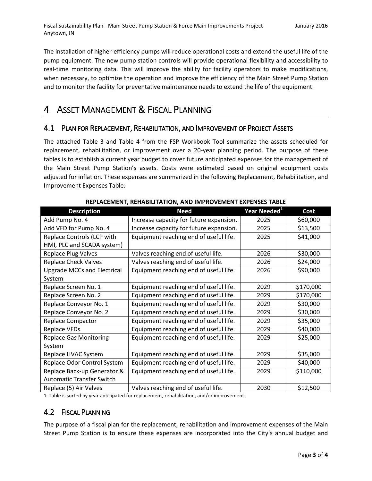The installation of higher-efficiency pumps will reduce operational costs and extend the useful life of the pump equipment. The new pump station controls will provide operational flexibility and accessibility to real-time monitoring data. This will improve the ability for facility operators to make modifications, when necessary, to optimize the operation and improve the efficiency of the Main Street Pump Station and to monitor the facility for preventative maintenance needs to extend the life of the equipment.

### 4 ASSET MANAGEMENT & FISCAL PLANNING

### 4.1 PLAN FOR REPLACEMENT, REHABILITATION, AND IMPROVEMENT OF PROJECT ASSETS

The attached Table 3 and Table 4 from the FSP Workbook Tool summarize the assets scheduled for replacement, rehabilitation, or improvement over a 20-year planning period. The purpose of these tables is to establish a current year budget to cover future anticipated expenses for the management of the Main Street Pump Station's assets. Costs were estimated based on original equipment costs adjusted for inflation. These expenses are summarized in the following Replacement, Rehabilitation, and Improvement Expenses Table:

| NET EACENIENT, NETIADIETATION, AND INIT NOVENIENT EAT ENJEJ TADEE |                          |           |  |  |  |  |  |  |  |  |
|-------------------------------------------------------------------|--------------------------|-----------|--|--|--|--|--|--|--|--|
| <b>Need</b>                                                       | Year Needed <sup>1</sup> | Cost      |  |  |  |  |  |  |  |  |
| Increase capacity for future expansion.                           | 2025                     | \$60,000  |  |  |  |  |  |  |  |  |
| Increase capacity for future expansion.                           | 2025                     | \$13,500  |  |  |  |  |  |  |  |  |
| Equipment reaching end of useful life.                            | 2025                     | \$41,000  |  |  |  |  |  |  |  |  |
|                                                                   |                          |           |  |  |  |  |  |  |  |  |
| Valves reaching end of useful life.                               | 2026                     | \$30,000  |  |  |  |  |  |  |  |  |
| Valves reaching end of useful life.                               | 2026                     | \$24,000  |  |  |  |  |  |  |  |  |
| Equipment reaching end of useful life.                            | 2026                     | \$90,000  |  |  |  |  |  |  |  |  |
|                                                                   |                          |           |  |  |  |  |  |  |  |  |
| Equipment reaching end of useful life.                            | 2029                     | \$170,000 |  |  |  |  |  |  |  |  |
| Equipment reaching end of useful life.                            | 2029                     | \$170,000 |  |  |  |  |  |  |  |  |
| Equipment reaching end of useful life.                            | 2029                     | \$30,000  |  |  |  |  |  |  |  |  |
| Equipment reaching end of useful life.                            | 2029                     | \$30,000  |  |  |  |  |  |  |  |  |
| Equipment reaching end of useful life.                            | 2029                     | \$35,000  |  |  |  |  |  |  |  |  |
| Equipment reaching end of useful life.                            | 2029                     | \$40,000  |  |  |  |  |  |  |  |  |
| Equipment reaching end of useful life.                            | 2029                     | \$25,000  |  |  |  |  |  |  |  |  |
|                                                                   |                          |           |  |  |  |  |  |  |  |  |
| Equipment reaching end of useful life.                            | 2029                     | \$35,000  |  |  |  |  |  |  |  |  |
| Equipment reaching end of useful life.                            | 2029                     | \$40,000  |  |  |  |  |  |  |  |  |
| Equipment reaching end of useful life.                            | 2029                     | \$110,000 |  |  |  |  |  |  |  |  |
|                                                                   |                          |           |  |  |  |  |  |  |  |  |
| Valves reaching end of useful life.                               | 2030                     | \$12,500  |  |  |  |  |  |  |  |  |
|                                                                   |                          |           |  |  |  |  |  |  |  |  |

REPLACEMENT, REHABILITATION, AND IMPROVEMENT EXPENSES TABLE

1. Table is sorted by year anticipated for replacement, rehabilitation, and/or improvement.

### 4.2 FISCAL PLANNING

The purpose of a fiscal plan for the replacement, rehabilitation and improvement expenses of the Main Street Pump Station is to ensure these expenses are incorporated into the City's annual budget and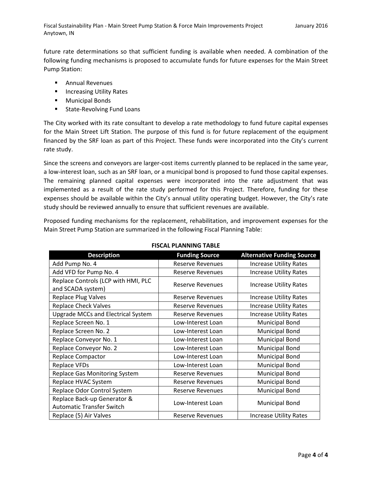future rate determinations so that sufficient funding is available when needed. A combination of the following funding mechanisms is proposed to accumulate funds for future expenses for the Main Street Pump Station:

- **E** Annual Revenues
- **Increasing Utility Rates**
- **Municipal Bonds**
- **State-Revolving Fund Loans**

The City worked with its rate consultant to develop a rate methodology to fund future capital expenses for the Main Street Lift Station. The purpose of this fund is for future replacement of the equipment financed by the SRF loan as part of this Project. These funds were incorporated into the City's current rate study.

Since the screens and conveyors are larger-cost items currently planned to be replaced in the same year, a low-interest loan, such as an SRF loan, or a municipal bond is proposed to fund those capital expenses. The remaining planned capital expenses were incorporated into the rate adjustment that was implemented as a result of the rate study performed for this Project. Therefore, funding for these expenses should be available within the City's annual utility operating budget. However, the City's rate study should be reviewed annually to ensure that sufficient revenues are available.

Proposed funding mechanisms for the replacement, rehabilitation, and improvement expenses for the Main Street Pump Station are summarized in the following Fiscal Planning Table:

| <b>Description</b>                        | <b>Funding Source</b>   | <b>Alternative Funding Source</b> |
|-------------------------------------------|-------------------------|-----------------------------------|
| Add Pump No. 4                            | <b>Reserve Revenues</b> | <b>Increase Utility Rates</b>     |
| Add VFD for Pump No. 4                    | Reserve Revenues        | <b>Increase Utility Rates</b>     |
| Replace Controls (LCP with HMI, PLC       | Reserve Revenues        | <b>Increase Utility Rates</b>     |
| and SCADA system)                         |                         |                                   |
| <b>Replace Plug Valves</b>                | Reserve Revenues        | <b>Increase Utility Rates</b>     |
| <b>Replace Check Valves</b>               | Reserve Revenues        | <b>Increase Utility Rates</b>     |
| <b>Upgrade MCCs and Electrical System</b> | Reserve Revenues        | <b>Increase Utility Rates</b>     |
| Replace Screen No. 1                      | Low-Interest Loan       | <b>Municipal Bond</b>             |
| Replace Screen No. 2                      | Low-Interest Loan       | <b>Municipal Bond</b>             |
| Replace Conveyor No. 1                    | Low-Interest Loan       | <b>Municipal Bond</b>             |
| Replace Conveyor No. 2                    | Low-Interest Loan       | <b>Municipal Bond</b>             |
| <b>Replace Compactor</b>                  | Low-Interest Loan       | <b>Municipal Bond</b>             |
| <b>Replace VFDs</b>                       | Low-Interest Loan       | <b>Municipal Bond</b>             |
| Replace Gas Monitoring System             | Reserve Revenues        | <b>Municipal Bond</b>             |
| Replace HVAC System                       | Reserve Revenues        | <b>Municipal Bond</b>             |
| Replace Odor Control System               | Reserve Revenues        | <b>Municipal Bond</b>             |
| Replace Back-up Generator &               |                         |                                   |
| <b>Automatic Transfer Switch</b>          | Low-Interest Loan       | <b>Municipal Bond</b>             |
| Replace (5) Air Valves                    | <b>Reserve Revenues</b> | <b>Increase Utility Rates</b>     |

#### FISCAL PLANNING TABLE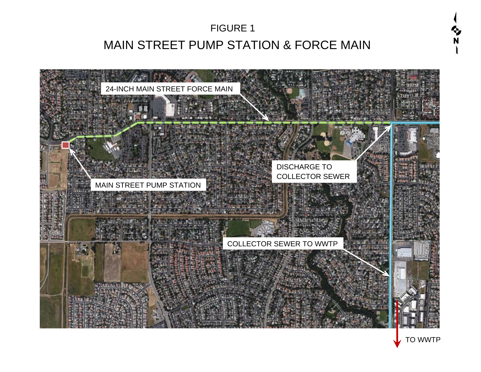# MAIN STREET PUMP STATION & FORCE MAIN FIGURE 1



TO WWTP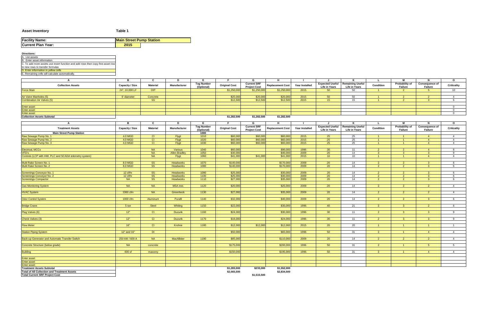### **Asset Inventory Table 1**

| <b>Facility Name:</b>     | <b>Main Street Pump Station</b> |  |
|---------------------------|---------------------------------|--|
| <b>Current Plan Year:</b> | 2015                            |  |

| <b>Directions:</b>                                                               |                        |                                     |                                      |                   |                      |                     |                         |                       |                      |                                           |                                  |                                  |                       |                        |
|----------------------------------------------------------------------------------|------------------------|-------------------------------------|--------------------------------------|-------------------|----------------------|---------------------|-------------------------|-----------------------|----------------------|-------------------------------------------|----------------------------------|----------------------------------|-----------------------|------------------------|
| A. List assets                                                                   |                        |                                     |                                      |                   |                      |                     |                         |                       |                      |                                           |                                  |                                  |                       |                        |
| B. Enter asset information                                                       |                        |                                     |                                      |                   |                      |                     |                         |                       |                      |                                           |                                  |                                  |                       |                        |
| C. To add more assets use insert function and add rows then copy first asset row |                        |                                     |                                      |                   |                      |                     |                         |                       |                      |                                           |                                  |                                  |                       |                        |
| to new rows to transfer formulas                                                 |                        |                                     |                                      |                   |                      |                     |                         |                       |                      |                                           |                                  |                                  |                       |                        |
| D. Enter information in yellow cells                                             |                        |                                     |                                      |                   |                      |                     |                         |                       |                      |                                           |                                  |                                  |                       |                        |
| E. Remaining cells will calculate automatically.                                 |                        |                                     |                                      |                   |                      |                     |                         |                       |                      |                                           |                                  |                                  |                       |                        |
| A                                                                                | B                      | $\mathbf{C}$                        | D                                    |                   |                      | G                   | H                       |                       |                      |                                           |                                  | M                                | N                     | $\mathbf{o}$           |
|                                                                                  |                        |                                     |                                      | <b>Tag Number</b> |                      | <b>Current SRF</b>  |                         |                       |                      | <b>Expected Useful   Remaining Useful</b> |                                  | <b>Probability of</b>            | <b>Consequence of</b> |                        |
| <b>Collection Assets</b>                                                         | <b>Capacity / Size</b> | <b>Material</b>                     | <b>Manufacturer</b>                  | (Optional)        | <b>Original Cost</b> | <b>Project Cost</b> | <b>Replacement Cost</b> | <b>Year Installed</b> | <b>Life in Years</b> | <b>Life in Years</b>                      | <b>Condition</b>                 | <b>Failure</b>                   | <b>Failure</b>        | <b>Criticality</b>     |
| <b>Force Main</b>                                                                | 24", 10,000 LF         | DIP                                 |                                      |                   | \$1,250,000          | \$1,250,000         | \$1,250,000             | 2015                  | 50                   | 50                                        | $\sim$ 1                         | $\overline{2}$                   | $-5$                  | 10                     |
|                                                                                  |                        |                                     |                                      |                   |                      |                     |                         |                       |                      |                                           |                                  |                                  |                       |                        |
| Air Valve Manholes (5)                                                           | 6' diameter            | Concrete                            |                                      |                   | \$20,000             | \$20,000            | \$20,000                | 2015                  | 50                   | 50                                        |                                  | $\overline{2}$                   | $\overline{2}$        | $\overline{4}$         |
| <b>Combination Air Valves (5)</b>                                                |                        | <b>SS</b>                           |                                      |                   | \$12,500             | \$12,500            | \$12,500                | 2015                  | 15                   | 15                                        | $-1$                             | 2 <sup>7</sup>                   | - 3                   | 6                      |
|                                                                                  |                        |                                     |                                      |                   |                      |                     |                         |                       |                      |                                           |                                  |                                  |                       |                        |
| <b>Enter asset</b><br><b>Enter asset</b>                                         |                        |                                     |                                      |                   |                      |                     |                         |                       |                      |                                           |                                  |                                  |                       | $\cap$<br>$\Omega$     |
| <b>Enter asset</b>                                                               |                        |                                     |                                      |                   |                      |                     |                         |                       |                      |                                           |                                  |                                  |                       | $\overline{0}$         |
| <b>Collection Assets Subtotal</b>                                                |                        |                                     |                                      |                   | \$1,282,500          | \$1,282,500         | \$1,282,500             |                       |                      |                                           |                                  |                                  |                       |                        |
|                                                                                  |                        |                                     |                                      |                   |                      |                     |                         |                       |                      |                                           |                                  |                                  |                       |                        |
|                                                                                  |                        | $\mathbf{C}$                        | D                                    |                   |                      | G                   | H                       |                       |                      |                                           |                                  | M                                | N                     | $\mathbf{o}$           |
| <b>Treatment Assets</b>                                                          | <b>Capacity / Size</b> | <b>Material</b>                     | <b>Manufacturer</b>                  | <b>Tag Number</b> | <b>Original Cost</b> | <b>Current SRF</b>  |                         | <b>Year Installed</b> |                      | <b>Expected Useful   Remaining Useful</b> | <b>Condition</b>                 | <b>Probability of</b>            | <b>Consequence of</b> | <b>Criticality</b>     |
|                                                                                  |                        |                                     |                                      | (Optional)        |                      | <b>Project Cost</b> | <b>Replacement Cost</b> |                       | <b>Life in Years</b> | <b>Life in Years</b>                      |                                  | <b>Failure</b>                   | <b>Failure</b>        |                        |
| <b>Main Street Pump Station</b>                                                  |                        |                                     |                                      | 1000              |                      |                     |                         |                       |                      |                                           |                                  |                                  |                       |                        |
| Raw Sewage Pump No. 1                                                            | 4.0 MGD                | C                                   | Flygt                                | 1010              | \$60,000             | \$60,000            | \$60,000                | 2015                  | 25                   | 25                                        |                                  |                                  | $\overline{4}$        | $\overline{4}$         |
| Raw Sewage Pump No. 2                                                            | 4.0 MGD                | CI                                  | Flygt                                | 1020              | \$60,000             | \$60,000            | \$60,000                | 2015                  | 25                   | 25                                        | $\sim$ 1<br>$\sim$ 1             | $-1$                             | $\overline{4}$        | - 4<br>$\overline{4}$  |
| Raw Sewage Pump No. 3                                                            | 4.0 MGD                | CI                                  | Flygt                                | 1030              | \$60,000             | \$60,000            | \$60,000                | 2015                  | 25                   | 25                                        |                                  |                                  | $\overline{4}$        |                        |
| Electrical, MCCs                                                                 |                        | <b>NA</b>                           | Various                              | 1040              | \$60,000             |                     | \$90,000                | 1996                  | 30                   | 11                                        | 2 <sup>7</sup>                   | 2 <sup>7</sup>                   | $\overline{4}$        | 8                      |
| VFD's                                                                            |                        | <b>NA</b>                           | <b>Allen-Bradley</b>                 | 1050              | \$30,000             |                     | \$40,000                | 2009                  | 20                   | 14                                        | 3 <sup>°</sup>                   | 3 <sup>2</sup>                   | - 3                   | -9                     |
| Controls (LCP with HMI, PLC and SCADA telemetry system)                          |                        | <b>NA</b>                           | Flygt                                | 1060              | $\sqrt{$41,000}$     | \$41,000            | \$41,000                | 2015                  | 10 <sup>°</sup>      | 10 <sup>°</sup>                           | $\sim$ 1                         | $-1$                             | $\overline{4}$        | $\overline{A}$         |
|                                                                                  |                        |                                     |                                      |                   |                      |                     |                         |                       |                      |                                           |                                  |                                  |                       |                        |
| Multi Rake Screen No. 1                                                          | 8.0 MGD                | <b>SS</b>                           | <b>Headworks</b>                     | 1070              | \$140,000            |                     | \$170,000               | 2009                  | 20                   | 14                                        | $\Omega$                         | $\overline{2}$                   | -3                    |                        |
| Multi Rake Screen No. 2                                                          | 8.0 MGD                | <b>SS</b>                           | <b>Headworks</b>                     | 1080              | \$140,000            |                     | \$170,000               | 2009                  | 20                   | 14                                        |                                  | ົດ                               | ാ                     |                        |
|                                                                                  |                        |                                     |                                      |                   |                      |                     |                         |                       |                      |                                           |                                  |                                  |                       |                        |
| Screenings Conveyor No. 1                                                        | $12$ cf/hr             | <b>SS</b>                           | <b>Headworks</b>                     | 1090              | \$25,000             |                     | \$30,000                | 2009                  | 20                   | 14                                        | $2^{\circ}$                      | $\overline{2}$                   | 3 <sup>°</sup>        | 6                      |
| Screenings Conveyor No. 2<br><b>Screenings Compactor</b>                         | 12 cf/hr<br><b>NA</b>  | <b>SS</b><br>$\overline{\text{SS}}$ | <b>Headworks</b><br><b>Headworks</b> | 1100<br>1110      | \$25,000<br>\$27,000 |                     | \$30,000<br>\$35,000    | 2009<br>2009          | 20<br>20             | 14<br>14                                  | 2 <sup>7</sup><br>2 <sup>7</sup> | 2 <sup>7</sup><br>2 <sup>7</sup> | $\mathbf{3}$<br>- 3   | 6                      |
|                                                                                  |                        |                                     |                                      |                   |                      |                     |                         |                       |                      |                                           |                                  |                                  |                       |                        |
| <b>Gas Monitoring System</b>                                                     | <b>NA</b>              | <b>NA</b>                           | <b>MSA Inst.</b>                     | 1120              | \$20,000             |                     | \$25,000                | 2009                  | 20                   | 14                                        | $\overline{2}$                   | 2 <sup>2</sup>                   | $\overline{2}$        | $\overline{4}$         |
|                                                                                  |                        |                                     |                                      |                   |                      |                     |                         |                       |                      |                                           |                                  |                                  |                       |                        |
| <b>HVAC System</b>                                                               | 3360 cfm               | <b>NA</b>                           | Greenheck                            | 1130              | \$27,000             |                     | \$35,000                | 2009                  | 20                   | 14                                        | $\overline{2}$                   | 2 <sup>7</sup>                   | $\overline{2}$        | $\overline{4}$         |
|                                                                                  |                        |                                     |                                      |                   |                      |                     |                         |                       |                      |                                           |                                  |                                  |                       |                        |
| <b>Odor Control System</b>                                                       | 1000 cfm               | Aluminum                            | Purafil                              | 1140              | \$32,000             |                     | \$40,000                | 2009                  | 20 <sup>°</sup>      | 14                                        | $\overline{2}$                   | $2^{\circ}$                      | 3 <sup>°</sup>        | 6                      |
|                                                                                  |                        |                                     |                                      |                   |                      |                     |                         |                       |                      |                                           |                                  |                                  |                       |                        |
| <b>Bridge Crane</b>                                                              | 5 ton                  | Steel                               | Whiting                              | 1150              | \$22,000             |                     | \$30,000                | 1996                  | 40                   | 21                                        | $2^{\circ}$                      | 3 <sup>1</sup>                   | $\overline{2}$        | 6                      |
|                                                                                  | 12"                    | C                                   | <b>Duzurik</b>                       | 1160              | \$24,000             |                     | \$30,000                | 1996                  | 30 <sub>o</sub>      | 11                                        | $\overline{2}$                   | 3 <sup>7</sup>                   | - 3-                  | -9                     |
| Plug Valves (6)                                                                  |                        |                                     |                                      |                   |                      |                     |                         |                       |                      |                                           |                                  |                                  |                       |                        |
| Check Valves (3)                                                                 | 12"                    | CI                                  | <b>Duzurik</b>                       | 1170              | \$18,000             |                     | \$24,000                | 1996                  | 30                   | 11                                        | $\mathcal{P}$                    | 3 <sup>1</sup>                   | $\mathbf{3}$          | <b>Q</b>               |
|                                                                                  |                        |                                     |                                      |                   |                      |                     |                         |                       |                      |                                           |                                  |                                  |                       |                        |
| <b>Flow Meter</b>                                                                | 16"                    | CI                                  | Krohne                               | 1180              | \$12,000             | \$12,000            | \$12,000                | 2015                  | 20                   | 20                                        | $\overline{1}$                   | $-1$                             | $\overline{1}$        | $\overline{1}$         |
|                                                                                  |                        |                                     |                                      |                   |                      |                     |                         |                       |                      |                                           |                                  |                                  |                       |                        |
| <b>Station Piping System</b>                                                     | 12" and 16"            | DI                                  |                                      |                   | \$50,000             |                     | \$65,000                | 1996                  | 50                   | 31                                        | 2 <sup>7</sup>                   | $\blacksquare$ 1                 | $\overline{4}$        | $\overline{4}$         |
|                                                                                  |                        |                                     |                                      |                   |                      |                     |                         |                       |                      |                                           |                                  |                                  |                       |                        |
| Back-up Generator and Automatic Transfer Switch                                  | 250 kW / 600 A         | <b>NA</b>                           | <b>MacAllister</b>                   | 1190              | \$85,000             |                     | \$110,000               | 2009                  | 20                   | 14                                        | $2^{\circ}$                      | 2 <sup>7</sup>                   | $\overline{2}$        | $\boldsymbol{\Lambda}$ |
| Concrete Structure (below grade)                                                 | <b>NA</b>              |                                     |                                      |                   | \$175,000            |                     | \$200,000               | 1996                  | 50                   | 31                                        | $\overline{2}$                   | - 1                              | $-5$                  | 5                      |
|                                                                                  |                        | concrete                            |                                      |                   |                      |                     |                         |                       |                      |                                           |                                  |                                  |                       |                        |
| Building                                                                         | 600 sf                 | masonry                             |                                      |                   | \$150,000            |                     | \$195,000               | 1996                  | 50                   | 31                                        | 2 <sup>2</sup>                   | $-1$                             | $\overline{4}$        | $\overline{4}$         |
|                                                                                  |                        |                                     |                                      |                   |                      |                     |                         |                       |                      |                                           |                                  |                                  |                       |                        |
| <b>Enter asset</b>                                                               |                        |                                     |                                      |                   |                      |                     |                         |                       |                      |                                           |                                  |                                  |                       |                        |
| <b>Enter asset</b>                                                               |                        |                                     |                                      |                   |                      |                     |                         |                       |                      |                                           |                                  |                                  |                       |                        |
| <b>Enter asset</b>                                                               |                        |                                     |                                      |                   |                      |                     |                         |                       |                      |                                           |                                  |                                  |                       |                        |
| <b>Treatment Assets Subtotal</b>                                                 |                        |                                     |                                      |                   | \$1,283,000          | \$233,000           | \$1,552,000             |                       |                      |                                           |                                  |                                  |                       |                        |
| <b>Total of All Collection and Treatment Assets</b>                              |                        |                                     |                                      |                   | \$2,565,500          |                     | \$2,834,500             |                       |                      |                                           |                                  |                                  |                       |                        |
| <b>Total Current SRF Project Cost</b>                                            |                        |                                     |                                      |                   |                      | \$1,515,500         |                         |                       |                      |                                           |                                  |                                  |                       |                        |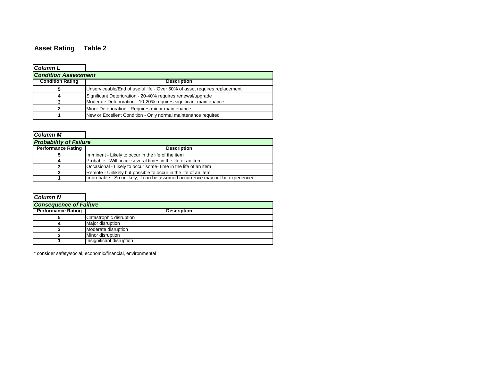## **Asset Rating Table 2**

| <b>Column L</b>             |                                                                           |
|-----------------------------|---------------------------------------------------------------------------|
| <b>Condition Assessment</b> |                                                                           |
| <b>Condition Rating</b>     | <b>Description</b>                                                        |
|                             | Unserviceable/End of useful life - Over 50% of asset requires replacement |
|                             | Significant Deterioration - 20-40% requires renewal/upgrade               |
|                             | Moderate Deterioration - 10-20% requires significant maintenance          |
|                             | Minor Deterioration - Requires minor maintenance                          |
|                             | New or Excellent Condition - Only normal maintenance required             |

| <b>Column M</b>               |                                                                               |
|-------------------------------|-------------------------------------------------------------------------------|
| <b>Probability of Failure</b> |                                                                               |
| <b>Performance Rating</b>     | <b>Description</b>                                                            |
|                               | Imminent - Likely to occur in the life of the item                            |
|                               | Probable - Will occur several times in the life of an item                    |
|                               | Occasional - Likely to occur some- time in the life of an item                |
|                               | Remote - Unlikely but possible to occur in the life of an item                |
|                               | Improbable - So unlikely, it can be assumed occurrence may not be experienced |

| <b>Column N</b>               |                          |
|-------------------------------|--------------------------|
| <b>Consequence of Failure</b> |                          |
| <b>Performance Rating</b>     | <b>Description</b>       |
|                               | Catastrophic disruption  |
|                               | Major disruption         |
|                               | Moderate disruption      |
|                               | Minor disruption         |
|                               | Insignificant disruption |

\* consider safety/social, economic/financial, environmental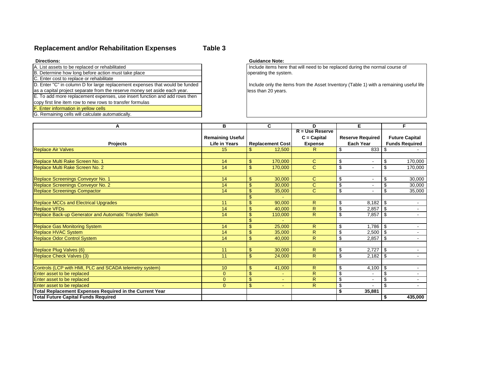### **Replacement and/or Rehabilitation Expenses Table 3**

| <b>Directions:</b>                                                           | <b>Guidance Note:</b> |
|------------------------------------------------------------------------------|-----------------------|
| A. List assets to be replaced or rehabilitated                               | Include items here    |
| B. Determine how long before action must take place                          | operating the syste   |
| C. Enter cost to replace or rehabilitate                                     |                       |
| D. Enter "C" in column D for large replacement expenses that would be funded | Include only the it   |
| as a capital project separate from the reserve money set aside each year.    | less than 20 years    |
| E. To add more replacement expenses, use insert function and add rows then   |                       |
| copy first line item row to new rows to transfer formulas                    |                       |
| F. Enter information in yellow cells                                         |                       |

G. Remaining cells will calculate automatically.

 Include items here that will need to be replaced during the normal course of operating the system.

 Include only the items from the Asset Inventory (Table 1) with a remaining useful life less than 20 years.

| Α                                                       | В                       |                           | C.                      | D                       |                             | Е                       |                           | F                     |
|---------------------------------------------------------|-------------------------|---------------------------|-------------------------|-------------------------|-----------------------------|-------------------------|---------------------------|-----------------------|
|                                                         |                         |                           |                         | $R = Use Reserve$       |                             |                         |                           |                       |
|                                                         | <b>Remaining Useful</b> |                           |                         | $C = Capital$           |                             | <b>Reserve Required</b> |                           | <b>Future Capital</b> |
| <b>Projects</b>                                         | <b>Life in Years</b>    |                           | <b>Replacement Cost</b> | <b>Expense</b>          |                             | <b>Each Year</b>        |                           | <b>Funds Required</b> |
| <b>Replace Air Valves</b>                               | 15                      | $\mathbf{\$}$             | 12,500                  | R                       | \$                          | 833                     | \$                        |                       |
|                                                         |                         |                           |                         |                         |                             |                         |                           |                       |
| Replace Multi Rake Screen No. 1                         | 14                      | $\sqrt[6]{\frac{1}{2}}$   | 170,000                 | $\mathbf C$             | \$                          |                         | \$                        | 170,000               |
| Replace Multi Rake Screen No. 2                         | 14                      | $\mathsf{\$}$             | 170,000                 | $\mathbf C$             | $\overline{\mathcal{S}}$    |                         | \$                        | 170,000               |
| Replace Screenings Conveyor No. 1                       | 14                      | \$                        | 30,000                  | C                       | \$                          |                         | \$                        | 30,000                |
| Replace Screenings Conveyor No. 2                       | 14                      | $\boldsymbol{\mathsf{S}}$ | 30,000                  | $\mathbf C$             | \$                          |                         |                           | 30,000                |
| <b>Replace Screenings Compactor</b>                     | 14                      | $\mathfrak{S}$            | 35,000                  | $\mathbf C$             | $\overline{\mathcal{S}}$    |                         | \$                        | 35,000                |
|                                                         |                         | $\boldsymbol{\mathsf{S}}$ |                         |                         |                             |                         |                           |                       |
| <b>Replace MCCs and Electrical Upgrades</b>             | 11                      | $\mathbf{\$}$             | 90,000                  | R                       | \$                          | 8,182                   | \$                        | $\sim$                |
| <b>Replace VFDs</b>                                     | 14                      | $\sqrt{3}$                | 40,000                  | $\mathsf{R}$            | \$                          | 2,857                   | \$                        |                       |
| Replace Back-up Generator and Automatic Transfer Switch | 14                      | $\mathfrak{S}$            | 110,000                 | R                       | $\overline{\mathcal{S}}$    | 7,857                   | \$                        | $\sim$                |
|                                                         |                         | $\boldsymbol{\mathsf{S}}$ |                         |                         |                             |                         |                           |                       |
| <b>Replace Gas Monitoring System</b>                    | 14                      | \$                        | 25,000                  | R                       | \$                          | 1,786                   | $\sqrt{3}$                | $\sim$                |
| <b>Replace HVAC System</b>                              | 14                      | $\sqrt{3}$                | 35,000                  | $\mathsf{R}$            | \$                          | 2,500                   | \$                        | $\sim$                |
| <b>Replace Odor Control System</b>                      | 14                      | $\mathbf{\$}$             | 40,000                  | R                       | \$                          | 2,857                   | $\mathfrak{S}$            | $\sim$                |
|                                                         |                         |                           |                         |                         |                             |                         |                           |                       |
| Replace Plug Valves (6)                                 | 11                      | \$                        | 30,000                  | $\mathsf{R}$            | \$                          | 2,727                   | \$                        | $\sim$                |
| <b>Replace Check Valves (3)</b>                         | 11                      | $\mathsf{\$}$             | 24,000                  | $\mathsf{R}$            | $\overline{\mathcal{S}}$    | 2,182                   | \$                        |                       |
| Controls (LCP with HMI, PLC and SCADA telemetry system) | 10                      | $\mathsf{\$}$             | 41,000                  | $\mathsf{R}$            | \$                          | 4,100                   | $\boldsymbol{\mathsf{S}}$ |                       |
| Enter asset to be replaced                              | $\mathbf{0}$            | $\boldsymbol{\mathsf{S}}$ |                         | $\overline{\mathsf{R}}$ | $\overline{\mathbf{3}}$     |                         | \$                        | $\sim$                |
| <b>Enter asset to be replaced</b>                       | $\mathbf{0}$            | $\mathfrak{S}$            | ٠                       | $\mathsf{R}$            | \$                          |                         | \$                        | $\sim$                |
| Enter asset to be replaced                              | $\overline{0}$          | $\mathfrak{S}$            |                         | $\mathsf{R}$            | \$                          |                         | $\mathbb{S}$              |                       |
| Total Replacement Expenses Required in the Current Year |                         |                           |                         |                         | $\overline{\boldsymbol{s}}$ | 35,881                  |                           |                       |
| <b>Total Future Capital Funds Required</b>              |                         |                           |                         |                         |                             |                         | \$                        | 435,000               |